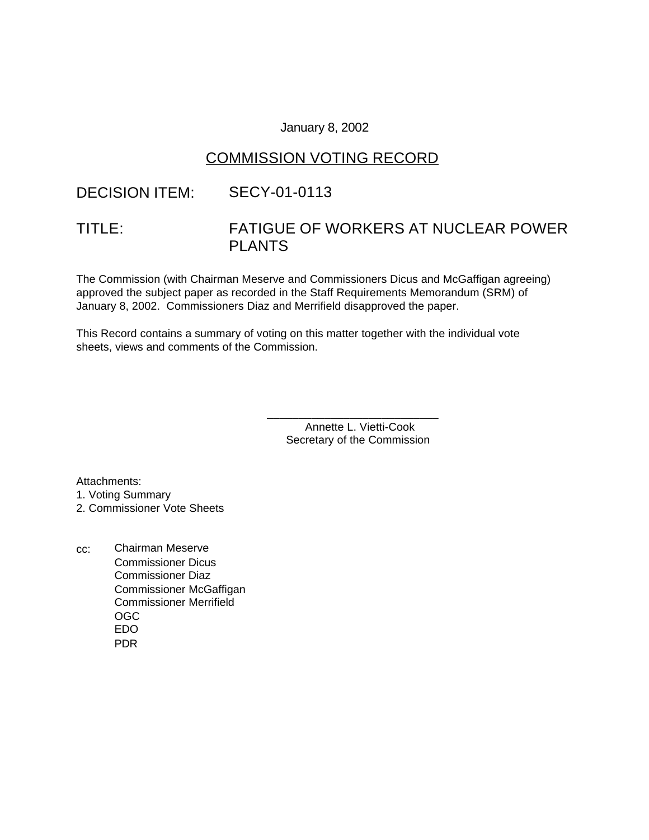#### January 8, 2002

## COMMISSION VOTING RECORD

# DECISION ITEM: SECY-01-0113

# TITLE: FATIGUE OF WORKERS AT NUCLEAR POWER PLANTS

The Commission (with Chairman Meserve and Commissioners Dicus and McGaffigan agreeing) approved the subject paper as recorded in the Staff Requirements Memorandum (SRM) of January 8, 2002. Commissioners Diaz and Merrifield disapproved the paper.

This Record contains a summary of voting on this matter together with the individual vote sheets, views and comments of the Commission.

> Annette L. Vietti-Cook Secretary of the Commission

\_\_\_\_\_\_\_\_\_\_\_\_\_\_\_\_\_\_\_\_\_\_\_\_\_\_\_

Attachments:

1. Voting Summary

2. Commissioner Vote Sheets

cc: Chairman Meserve Commissioner Dicus Commissioner Diaz Commissioner McGaffigan Commissioner Merrifield OGC EDO PDR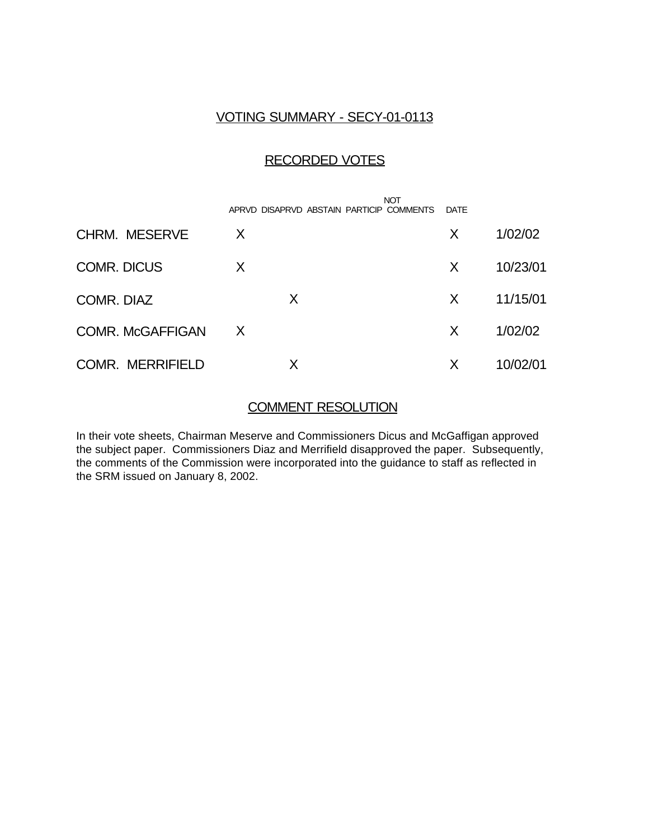# VOTING SUMMARY - SECY-01-0113

### RECORDED VOTES

|                         |   | APRVD DISAPRVD ABSTAIN PARTICIP COMMENTS | <b>NOT</b> | DATE |          |
|-------------------------|---|------------------------------------------|------------|------|----------|
| <b>CHRM. MESERVE</b>    | X |                                          |            | X    | 1/02/02  |
| <b>COMR. DICUS</b>      | X |                                          |            | X    | 10/23/01 |
| COMR. DIAZ              |   | X                                        |            | X    | 11/15/01 |
| <b>COMR. McGAFFIGAN</b> | X |                                          |            | X    | 1/02/02  |
| <b>COMR. MERRIFIELD</b> |   |                                          |            | X    | 10/02/01 |

### COMMENT RESOLUTION

In their vote sheets, Chairman Meserve and Commissioners Dicus and McGaffigan approved the subject paper. Commissioners Diaz and Merrifield disapproved the paper. Subsequently, the comments of the Commission were incorporated into the guidance to staff as reflected in the SRM issued on January 8, 2002.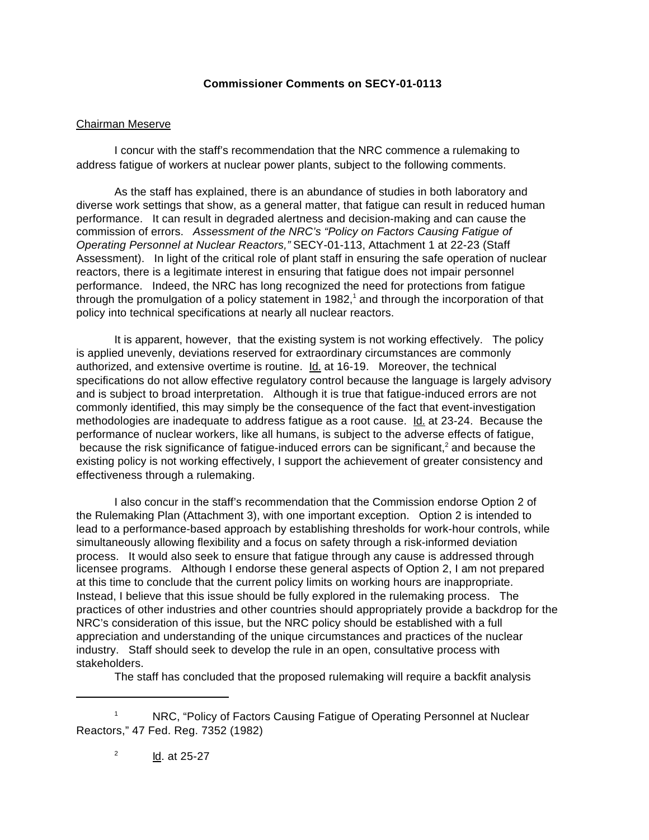#### **Commissioner Comments on SECY-01-0113**

#### Chairman Meserve

I concur with the staff's recommendation that the NRC commence a rulemaking to address fatigue of workers at nuclear power plants, subject to the following comments.

As the staff has explained, there is an abundance of studies in both laboratory and diverse work settings that show, as a general matter, that fatigue can result in reduced human performance. It can result in degraded alertness and decision-making and can cause the commission of errors. *Assessment of the NRC's "Policy on Factors Causing Fatigue of Operating Personnel at Nuclear Reactors,"* SECY-01-113, Attachment 1 at 22-23 (Staff Assessment). In light of the critical role of plant staff in ensuring the safe operation of nuclear reactors, there is a legitimate interest in ensuring that fatigue does not impair personnel performance. Indeed, the NRC has long recognized the need for protections from fatigue through the promulgation of a policy statement in 1982,<sup>1</sup> and through the incorporation of that policy into technical specifications at nearly all nuclear reactors.

It is apparent, however, that the existing system is not working effectively. The policy is applied unevenly, deviations reserved for extraordinary circumstances are commonly authorized, and extensive overtime is routine. Id. at 16-19. Moreover, the technical specifications do not allow effective regulatory control because the language is largely advisory and is subject to broad interpretation. Although it is true that fatigue-induced errors are not commonly identified, this may simply be the consequence of the fact that event-investigation methodologies are inadequate to address fatigue as a root cause. Id. at 23-24. Because the performance of nuclear workers, like all humans, is subject to the adverse effects of fatigue, because the risk significance of fatigue-induced errors can be significant,<sup>2</sup> and because the existing policy is not working effectively, I support the achievement of greater consistency and effectiveness through a rulemaking.

I also concur in the staff's recommendation that the Commission endorse Option 2 of the Rulemaking Plan (Attachment 3), with one important exception. Option 2 is intended to lead to a performance-based approach by establishing thresholds for work-hour controls, while simultaneously allowing flexibility and a focus on safety through a risk-informed deviation process. It would also seek to ensure that fatigue through any cause is addressed through licensee programs. Although I endorse these general aspects of Option 2, I am not prepared at this time to conclude that the current policy limits on working hours are inappropriate. Instead, I believe that this issue should be fully explored in the rulemaking process. The practices of other industries and other countries should appropriately provide a backdrop for the NRC's consideration of this issue, but the NRC policy should be established with a full appreciation and understanding of the unique circumstances and practices of the nuclear industry. Staff should seek to develop the rule in an open, consultative process with stakeholders.

The staff has concluded that the proposed rulemaking will require a backfit analysis

NRC, "Policy of Factors Causing Fatigue of Operating Personnel at Nuclear Reactors," 47 Fed. Reg. 7352 (1982)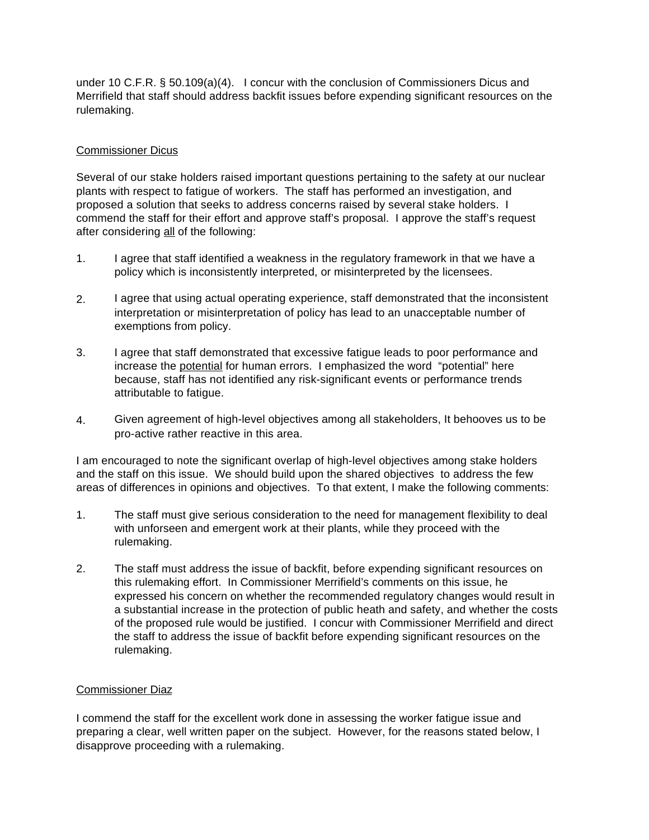under 10 C.F.R. § 50.109(a)(4). I concur with the conclusion of Commissioners Dicus and Merrifield that staff should address backfit issues before expending significant resources on the rulemaking.

#### Commissioner Dicus

Several of our stake holders raised important questions pertaining to the safety at our nuclear plants with respect to fatigue of workers. The staff has performed an investigation, and proposed a solution that seeks to address concerns raised by several stake holders. I commend the staff for their effort and approve staff's proposal. I approve the staff's request after considering all of the following:

- 1. I agree that staff identified a weakness in the regulatory framework in that we have a policy which is inconsistently interpreted, or misinterpreted by the licensees.
- 2. I agree that using actual operating experience, staff demonstrated that the inconsistent interpretation or misinterpretation of policy has lead to an unacceptable number of exemptions from policy.
- 3. I agree that staff demonstrated that excessive fatigue leads to poor performance and increase the potential for human errors. I emphasized the word "potential" here because, staff has not identified any risk-significant events or performance trends attributable to fatigue.
- 4. Given agreement of high-level objectives among all stakeholders, It behooves us to be pro-active rather reactive in this area.

I am encouraged to note the significant overlap of high-level objectives among stake holders and the staff on this issue. We should build upon the shared objectives to address the few areas of differences in opinions and objectives. To that extent, I make the following comments:

- 1. The staff must give serious consideration to the need for management flexibility to deal with unforseen and emergent work at their plants, while they proceed with the rulemaking.
- 2. The staff must address the issue of backfit, before expending significant resources on this rulemaking effort. In Commissioner Merrifield's comments on this issue, he expressed his concern on whether the recommended regulatory changes would result in a substantial increase in the protection of public heath and safety, and whether the costs of the proposed rule would be justified. I concur with Commissioner Merrifield and direct the staff to address the issue of backfit before expending significant resources on the rulemaking.

#### Commissioner Diaz

I commend the staff for the excellent work done in assessing the worker fatigue issue and preparing a clear, well written paper on the subject. However, for the reasons stated below, I disapprove proceeding with a rulemaking.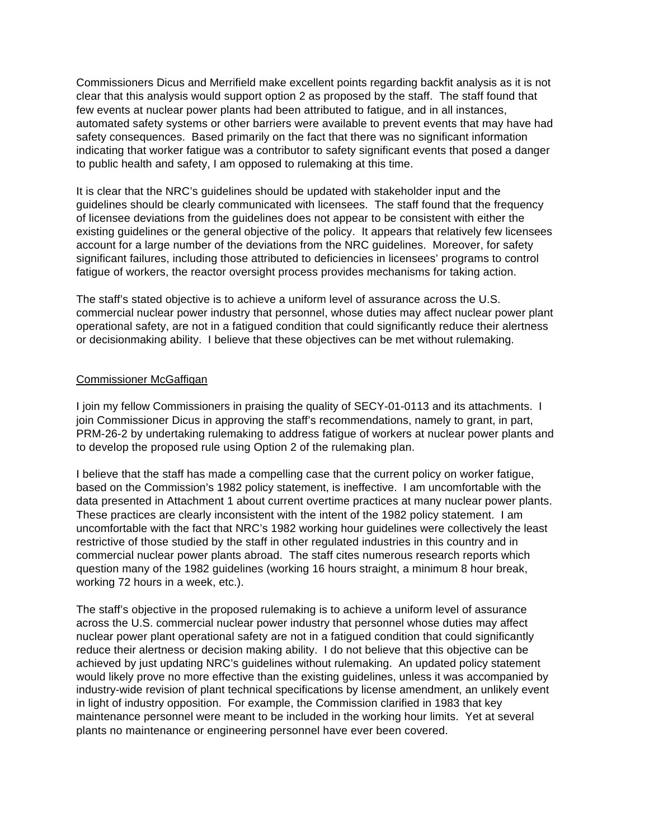Commissioners Dicus and Merrifield make excellent points regarding backfit analysis as it is not clear that this analysis would support option 2 as proposed by the staff. The staff found that few events at nuclear power plants had been attributed to fatigue, and in all instances, automated safety systems or other barriers were available to prevent events that may have had safety consequences. Based primarily on the fact that there was no significant information indicating that worker fatigue was a contributor to safety significant events that posed a danger to public health and safety, I am opposed to rulemaking at this time.

It is clear that the NRC's guidelines should be updated with stakeholder input and the guidelines should be clearly communicated with licensees. The staff found that the frequency of licensee deviations from the guidelines does not appear to be consistent with either the existing guidelines or the general objective of the policy. It appears that relatively few licensees account for a large number of the deviations from the NRC guidelines. Moreover, for safety significant failures, including those attributed to deficiencies in licensees' programs to control fatigue of workers, the reactor oversight process provides mechanisms for taking action.

The staff's stated objective is to achieve a uniform level of assurance across the U.S. commercial nuclear power industry that personnel, whose duties may affect nuclear power plant operational safety, are not in a fatigued condition that could significantly reduce their alertness or decisionmaking ability. I believe that these objectives can be met without rulemaking.

#### Commissioner McGaffigan

I join my fellow Commissioners in praising the quality of SECY-01-0113 and its attachments. I join Commissioner Dicus in approving the staff's recommendations, namely to grant, in part, PRM-26-2 by undertaking rulemaking to address fatigue of workers at nuclear power plants and to develop the proposed rule using Option 2 of the rulemaking plan.

I believe that the staff has made a compelling case that the current policy on worker fatigue, based on the Commission's 1982 policy statement, is ineffective. I am uncomfortable with the data presented in Attachment 1 about current overtime practices at many nuclear power plants. These practices are clearly inconsistent with the intent of the 1982 policy statement. I am uncomfortable with the fact that NRC's 1982 working hour guidelines were collectively the least restrictive of those studied by the staff in other regulated industries in this country and in commercial nuclear power plants abroad. The staff cites numerous research reports which question many of the 1982 guidelines (working 16 hours straight, a minimum 8 hour break, working 72 hours in a week, etc.).

The staff's objective in the proposed rulemaking is to achieve a uniform level of assurance across the U.S. commercial nuclear power industry that personnel whose duties may affect nuclear power plant operational safety are not in a fatigued condition that could significantly reduce their alertness or decision making ability. I do not believe that this objective can be achieved by just updating NRC's guidelines without rulemaking. An updated policy statement would likely prove no more effective than the existing guidelines, unless it was accompanied by industry-wide revision of plant technical specifications by license amendment, an unlikely event in light of industry opposition. For example, the Commission clarified in 1983 that key maintenance personnel were meant to be included in the working hour limits. Yet at several plants no maintenance or engineering personnel have ever been covered.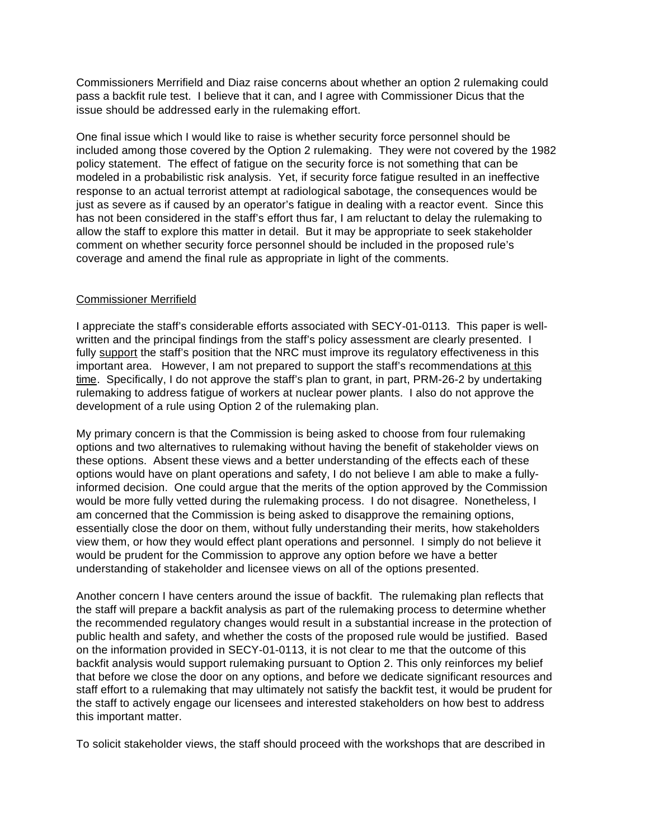Commissioners Merrifield and Diaz raise concerns about whether an option 2 rulemaking could pass a backfit rule test. I believe that it can, and I agree with Commissioner Dicus that the issue should be addressed early in the rulemaking effort.

One final issue which I would like to raise is whether security force personnel should be included among those covered by the Option 2 rulemaking. They were not covered by the 1982 policy statement. The effect of fatigue on the security force is not something that can be modeled in a probabilistic risk analysis. Yet, if security force fatigue resulted in an ineffective response to an actual terrorist attempt at radiological sabotage, the consequences would be just as severe as if caused by an operator's fatigue in dealing with a reactor event. Since this has not been considered in the staff's effort thus far, I am reluctant to delay the rulemaking to allow the staff to explore this matter in detail. But it may be appropriate to seek stakeholder comment on whether security force personnel should be included in the proposed rule's coverage and amend the final rule as appropriate in light of the comments.

#### Commissioner Merrifield

I appreciate the staff's considerable efforts associated with SECY-01-0113. This paper is wellwritten and the principal findings from the staff's policy assessment are clearly presented. I fully support the staff's position that the NRC must improve its regulatory effectiveness in this important area. However, I am not prepared to support the staff's recommendations at this time. Specifically, I do not approve the staff's plan to grant, in part, PRM-26-2 by undertaking rulemaking to address fatigue of workers at nuclear power plants. I also do not approve the development of a rule using Option 2 of the rulemaking plan.

My primary concern is that the Commission is being asked to choose from four rulemaking options and two alternatives to rulemaking without having the benefit of stakeholder views on these options. Absent these views and a better understanding of the effects each of these options would have on plant operations and safety, I do not believe I am able to make a fullyinformed decision. One could argue that the merits of the option approved by the Commission would be more fully vetted during the rulemaking process. I do not disagree. Nonetheless, I am concerned that the Commission is being asked to disapprove the remaining options, essentially close the door on them, without fully understanding their merits, how stakeholders view them, or how they would effect plant operations and personnel. I simply do not believe it would be prudent for the Commission to approve any option before we have a better understanding of stakeholder and licensee views on all of the options presented.

Another concern I have centers around the issue of backfit. The rulemaking plan reflects that the staff will prepare a backfit analysis as part of the rulemaking process to determine whether the recommended regulatory changes would result in a substantial increase in the protection of public health and safety, and whether the costs of the proposed rule would be justified. Based on the information provided in SECY-01-0113, it is not clear to me that the outcome of this backfit analysis would support rulemaking pursuant to Option 2. This only reinforces my belief that before we close the door on any options, and before we dedicate significant resources and staff effort to a rulemaking that may ultimately not satisfy the backfit test, it would be prudent for the staff to actively engage our licensees and interested stakeholders on how best to address this important matter.

To solicit stakeholder views, the staff should proceed with the workshops that are described in